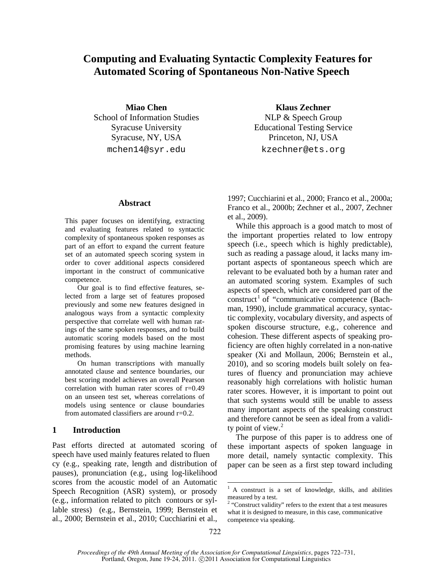# **Computing and Evaluating Syntactic Complexity Features for Automated Scoring of Spontaneous Non-Native Speech**

School of Information Studies NLP & Speech Group Syracuse, NY, USA Princeton, NJ, USA

**Miao Chen Klaus Zechner** Syracuse University Educational Testing Service mchen14@syr.edu kzechner@ets.org

## **Abstract**

This paper focuses on identifying, extracting and evaluating features related to syntactic complexity of spontaneous spoken responses as part of an effort to expand the current feature set of an automated speech scoring system in order to cover additional aspects considered important in the construct of communicative competence.

Our goal is to find effective features, selected from a large set of features proposed previously and some new features designed in analogous ways from a syntactic complexity perspective that correlate well with human ratings of the same spoken responses, and to build automatic scoring models based on the most promising features by using machine learning methods.

On human transcriptions with manually annotated clause and sentence boundaries, our best scoring model achieves an overall Pearson correlation with human rater scores of  $r=0.49$ on an unseen test set, whereas correlations of models using sentence or clause boundaries from automated classifiers are around  $r=0.2$ .

## **1 Introduction**

Past efforts directed at automated scoring of speech have used mainly features related to fluen cy (e.g., speaking rate, length and distribution of pauses), pronunciation (e.g., using log-likelihood scores from the acoustic model of an Automatic Speech Recognition (ASR) system), or prosody (e.g., information related to pitch contours or syllable stress) (e.g., Bernstein, 1999; Bernstein et al., 2000; Bernstein et al., 2010; Cucchiarini et al.,

1997; Cucchiarini et al., 2000; Franco et al., 2000a; Franco et al., 2000b; Zechner et al., 2007, Zechner et al., 2009).

While this approach is a good match to most of the important properties related to low entropy speech (i.e., speech which is highly predictable), such as reading a passage aloud, it lacks many important aspects of spontaneous speech which are relevant to be evaluated both by a human rater and an automated scoring system. Examples of such aspects of speech, which are considered part of the construct<sup>1</sup> of "communicative competence (Bachman, 1990), include grammatical accuracy, syntactic complexity, vocabulary diversity, and aspects of spoken discourse structure, e.g., coherence and cohesion. These different aspects of speaking proficiency are often highly correlated in a non-native speaker (Xi and Mollaun, 2006; Bernstein et al., 2010), and so scoring models built solely on features of fluency and pronunciation may achieve reasonably high correlations with holistic human rater scores. However, it is important to point out that such systems would still be unable to assess many important aspects of the speaking construct and therefore cannot be seen as ideal from a validity point of view. $2$ 

The purpose of this paper is to address one of these important aspects of spoken language in more detail, namely syntactic complexity. This paper can be seen as a first step toward including

<sup>&</sup>lt;sup>1</sup> A construct is a set of knowledge, skills, and abilities measured by a test.

<sup>&</sup>lt;sup>2</sup> "Construct validity" refers to the extent that a test measures what it is designed to measure, in this case, communicative competence via speaking.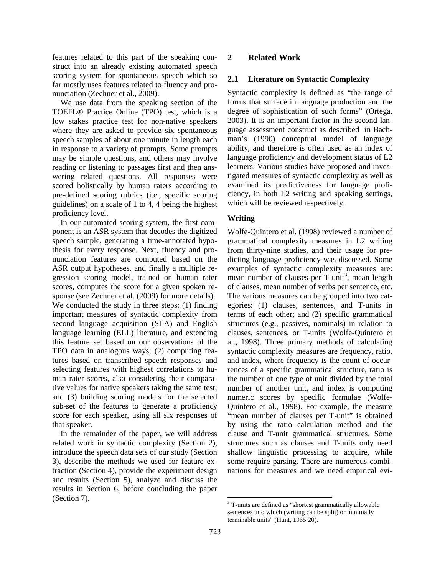features related to this part of the speaking construct into an already existing automated speech scoring system for spontaneous speech which so far mostly uses features related to fluency and pronunciation (Zechner et al., 2009).

We use data from the speaking section of the TOEFL® Practice Online (TPO) test, which is a low stakes practice test for non-native speakers where they are asked to provide six spontaneous speech samples of about one minute in length each in response to a variety of prompts. Some prompts may be simple questions, and others may involve reading or listening to passages first and then answering related questions. All responses were scored holistically by human raters according to pre-defined scoring rubrics (i.e., specific scoring guidelines) on a scale of 1 to 4, 4 being the highest proficiency level.

In our automated scoring system, the first component is an ASR system that decodes the digitized speech sample, generating a time-annotated hypothesis for every response. Next, fluency and pronunciation features are computed based on the ASR output hypotheses, and finally a multiple regression scoring model, trained on human rater scores, computes the score for a given spoken response (see Zechner et al. (2009) for more details). We conducted the study in three steps: (1) finding important measures of syntactic complexity from second language acquisition (SLA) and English language learning (ELL) literature, and extending this feature set based on our observations of the TPO data in analogous ways; (2) computing features based on transcribed speech responses and selecting features with highest correlations to human rater scores, also considering their comparative values for native speakers taking the same test; and (3) building scoring models for the selected sub-set of the features to generate a proficiency score for each speaker, using all six responses of that speaker.

In the remainder of the paper, we will address related work in syntactic complexity (Section 2), introduce the speech data sets of our study (Section 3), describe the methods we used for feature extraction (Section 4), provide the experiment design and results (Section 5), analyze and discuss the results in Section 6, before concluding the paper (Section 7).

# **2 Related Work**

#### **2.1 Literature on Syntactic Complexity**

Syntactic complexity is defined as "the range of forms that surface in language production and the degree of sophistication of such forms" (Ortega, 2003). It is an important factor in the second language assessment construct as described in Bachman's (1990) conceptual model of language ability, and therefore is often used as an index of language proficiency and development status of L2 learners. Various studies have proposed and investigated measures of syntactic complexity as well as examined its predictiveness for language proficiency, in both L2 writing and speaking settings, which will be reviewed respectively.

#### **Writing**

Wolfe-Quintero et al. (1998) reviewed a number of grammatical complexity measures in L2 writing from thirty-nine studies, and their usage for predicting language proficiency was discussed. Some examples of syntactic complexity measures are: mean number of clauses per T-unit<sup>3</sup>, mean length of clauses, mean number of verbs per sentence, etc. The various measures can be grouped into two categories: (1) clauses, sentences, and T-units in terms of each other; and (2) specific grammatical structures (e.g., passives, nominals) in relation to clauses, sentences, or T-units (Wolfe-Quintero et al., 1998). Three primary methods of calculating syntactic complexity measures are frequency, ratio, and index, where frequency is the count of occurrences of a specific grammatical structure, ratio is the number of one type of unit divided by the total number of another unit, and index is computing numeric scores by specific formulae (Wolfe-Quintero et al., 1998). For example, the measure "mean number of clauses per T-unit" is obtained by using the ratio calculation method and the clause and T-unit grammatical structures. Some structures such as clauses and T-units only need shallow linguistic processing to acquire, while some require parsing. There are numerous combinations for measures and we need empirical evi-

<sup>&</sup>lt;sup>3</sup> T-units are defined as "shortest grammatically allowable sentences into which (writing can be split) or minimally terminable units" (Hunt, 1965:20).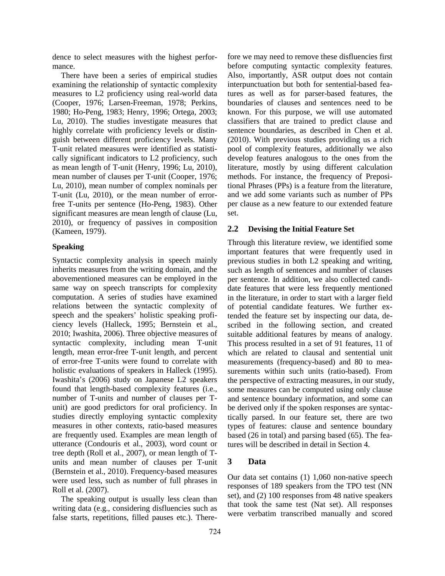dence to select measures with the highest performance.

There have been a series of empirical studies examining the relationship of syntactic complexity measures to L2 proficiency using real-world data (Cooper, 1976; Larsen-Freeman, 1978; Perkins, 1980; Ho-Peng, 1983; Henry, 1996; Ortega, 2003; Lu, 2010). The studies investigate measures that highly correlate with proficiency levels or distinguish between different proficiency levels. Many T-unit related measures were identified as statistically significant indicators to L2 proficiency, such as mean length of T-unit (Henry, 1996; Lu, 2010), mean number of clauses per T-unit (Cooper, 1976; Lu, 2010), mean number of complex nominals per T-unit (Lu, 2010), or the mean number of errorfree T-units per sentence (Ho-Peng, 1983). Other significant measures are mean length of clause (Lu, 2010), or frequency of passives in composition (Kameen, 1979).

#### **Speaking**

Syntactic complexity analysis in speech mainly inherits measures from the writing domain, and the abovementioned measures can be employed in the same way on speech transcripts for complexity computation. A series of studies have examined relations between the syntactic complexity of speech and the speakers' holistic speaking proficiency levels (Halleck, 1995; Bernstein et al., 2010; Iwashita, 2006). Three objective measures of syntactic complexity, including mean T-unit length, mean error-free T-unit length, and percent of error-free T-units were found to correlate with holistic evaluations of speakers in Halleck (1995). Iwashita's (2006) study on Japanese L2 speakers found that length-based complexity features (i.e., number of T-units and number of clauses per Tunit) are good predictors for oral proficiency. In studies directly employing syntactic complexity measures in other contexts, ratio-based measures are frequently used. Examples are mean length of utterance (Condouris et al., 2003), word count or tree depth (Roll et al., 2007), or mean length of Tunits and mean number of clauses per T-unit (Bernstein et al., 2010). Frequency-based measures were used less, such as number of full phrases in Roll et al. (2007).

The speaking output is usually less clean than writing data (e.g., considering disfluencies such as false starts, repetitions, filled pauses etc.). Therefore we may need to remove these disfluencies first before computing syntactic complexity features. Also, importantly, ASR output does not contain interpunctuation but both for sentential-based features as well as for parser-based features, the boundaries of clauses and sentences need to be known. For this purpose, we will use automated classifiers that are trained to predict clause and sentence boundaries, as described in Chen et al. (2010). With previous studies providing us a rich pool of complexity features, additionally we also develop features analogous to the ones from the literature, mostly by using different calculation methods. For instance, the frequency of Prepositional Phrases (PPs) is a feature from the literature, and we add some variants such as number of PPs per clause as a new feature to our extended feature set.

#### **2.2 Devising the Initial Feature Set**

Through this literature review, we identified some important features that were frequently used in previous studies in both L2 speaking and writing, such as length of sentences and number of clauses per sentence. In addition, we also collected candidate features that were less frequently mentioned in the literature, in order to start with a larger field of potential candidate features. We further extended the feature set by inspecting our data, described in the following section, and created suitable additional features by means of analogy. This process resulted in a set of 91 features, 11 of which are related to clausal and sentential unit measurements (frequency-based) and 80 to measurements within such units (ratio-based). From the perspective of extracting measures, in our study, some measures can be computed using only clause and sentence boundary information, and some can be derived only if the spoken responses are syntactically parsed. In our feature set, there are two types of features: clause and sentence boundary based (26 in total) and parsing based (65). The features will be described in detail in Section 4.

#### **3 Data**

Our data set contains (1) 1,060 non-native speech responses of 189 speakers from the TPO test (NN set), and (2) 100 responses from 48 native speakers that took the same test (Nat set). All responses were verbatim transcribed manually and scored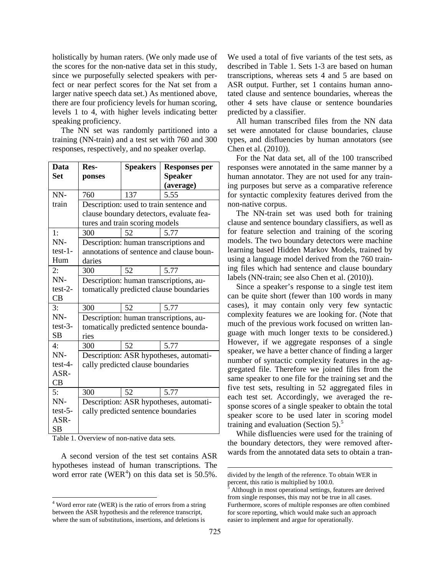holistically by human raters. (We only made use of the scores for the non-native data set in this study, since we purposefully selected speakers with perfect or near perfect scores for the Nat set from a larger native speech data set.) As mentioned above, there are four proficiency levels for human scoring, levels 1 to 4, with higher levels indicating better speaking proficiency.

The NN set was randomly partitioned into a training (NN-train) and a test set with 760 and 300 responses, respectively, and no speaker overlap.

| <b>Data</b> | Res-                                     | <b>Speakers</b> |                                        |  |  |
|-------------|------------------------------------------|-----------------|----------------------------------------|--|--|
|             |                                          |                 | <b>Responses per</b>                   |  |  |
| <b>Set</b>  | ponses                                   |                 | <b>Speaker</b>                         |  |  |
|             |                                          |                 | (average)                              |  |  |
| NN-         | 760                                      | 137             | 5.55                                   |  |  |
| train       | Description: used to train sentence and  |                 |                                        |  |  |
|             | clause boundary detectors, evaluate fea- |                 |                                        |  |  |
|             | tures and train scoring models           |                 |                                        |  |  |
| 1:          | 300                                      | 52              | 5.77                                   |  |  |
| NN-         | Description: human transcriptions and    |                 |                                        |  |  |
| $test-1-$   | annotations of sentence and clause boun- |                 |                                        |  |  |
| Hum         | daries                                   |                 |                                        |  |  |
| 2:          | 300                                      | 52              | 5.77                                   |  |  |
| NN-         | Description: human transcriptions, au-   |                 |                                        |  |  |
| $test-2-$   | tomatically predicted clause boundaries  |                 |                                        |  |  |
| CB          |                                          |                 |                                        |  |  |
| 3:          | 300                                      | 52              | 5.77                                   |  |  |
| NN-         |                                          |                 | Description: human transcriptions, au- |  |  |
| $test-3-$   | tomatically predicted sentence bounda-   |                 |                                        |  |  |
| SВ          | ries                                     |                 |                                        |  |  |
| $4\cdot$    | 300                                      | 52              | 5.77                                   |  |  |
| NN-         | Description: ASR hypotheses, automati-   |                 |                                        |  |  |
| $test-4-$   | cally predicted clause boundaries        |                 |                                        |  |  |
| ASR-        |                                          |                 |                                        |  |  |
| CB          |                                          |                 |                                        |  |  |
| 5:          | 300                                      | 52              | 5.77                                   |  |  |
| NN-         |                                          |                 | Description: ASR hypotheses, automati- |  |  |
| $test-5$ -  | cally predicted sentence boundaries      |                 |                                        |  |  |
| ASR-        |                                          |                 |                                        |  |  |
| SB          |                                          |                 |                                        |  |  |

Table 1. Overview of non-native data sets.

A second version of the test set contains ASR hypotheses instead of human transcriptions. The word error rate (WER<sup>4</sup>) on this data set is 50.5%.

We used a total of five variants of the test sets, as described in Table 1. Sets 1-3 are based on human transcriptions, whereas sets 4 and 5 are based on ASR output. Further, set 1 contains human annotated clause and sentence boundaries, whereas the other 4 sets have clause or sentence boundaries predicted by a classifier.

All human transcribed files from the NN data set were annotated for clause boundaries, clause types, and disfluencies by human annotators (see Chen et al. (2010)).

For the Nat data set, all of the 100 transcribed responses were annotated in the same manner by a human annotator. They are not used for any training purposes but serve as a comparative reference for syntactic complexity features derived from the non-native corpus.

The NN-train set was used both for training clause and sentence boundary classifiers, as well as for feature selection and training of the scoring models. The two boundary detectors were machine learning based Hidden Markov Models, trained by using a language model derived from the 760 training files which had sentence and clause boundary labels (NN-train; see also Chen et al. (2010)).

Since a speaker's response to a single test item can be quite short (fewer than 100 words in many cases), it may contain only very few syntactic complexity features we are looking for. (Note that much of the previous work focused on written language with much longer texts to be considered.) However, if we aggregate responses of a single speaker, we have a better chance of finding a larger number of syntactic complexity features in the aggregated file. Therefore we joined files from the same speaker to one file for the training set and the five test sets, resulting in 52 aggregated files in each test set. Accordingly, we averaged the response scores of a single speaker to obtain the total speaker score to be used later in scoring model training and evaluation (Section 5).<sup>5</sup>

While disfluencies were used for the training of the boundary detectors, they were removed afterwards from the annotated data sets to obtain a tran-

 $\overline{a}$ 

 <sup>4</sup> Word error rate (WER) is the ratio of errors from a string between the ASR hypothesis and the reference transcript, where the sum of substitutions, insertions, and deletions is

divided by the length of the reference. To obtain WER in percent, this ratio is multiplied by 100.0.

<sup>5</sup> Although in most operational settings, features are derived from single responses, this may not be true in all cases. Furthermore, scores of multiple responses are often combined for score reporting, which would make such an approach easier to implement and argue for operationally.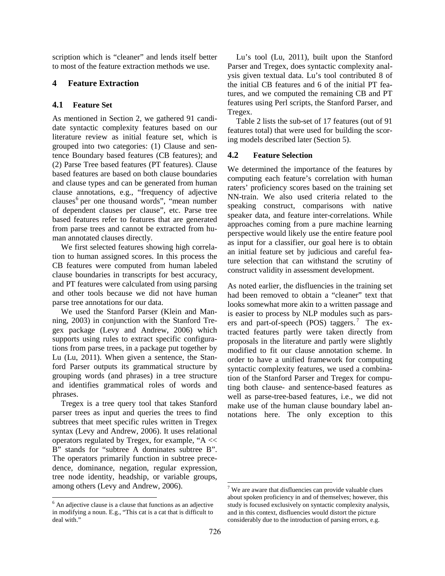scription which is "cleaner" and lends itself better to most of the feature extraction methods we use.

# **4 Feature Extraction**

## **4.1 Feature Set**

As mentioned in Section 2, we gathered 91 candidate syntactic complexity features based on our literature review as initial feature set, which is grouped into two categories: (1) Clause and sentence Boundary based features (CB features); and (2) Parse Tree based features (PT features). Clause based features are based on both clause boundaries and clause types and can be generated from human clause annotations, e.g., "frequency of adjective clauses<sup>6</sup> per one thousand words", "mean number of dependent clauses per clause", etc. Parse tree based features refer to features that are generated from parse trees and cannot be extracted from human annotated clauses directly.

We first selected features showing high correlation to human assigned scores. In this process the CB features were computed from human labeled clause boundaries in transcripts for best accuracy, and PT features were calculated from using parsing and other tools because we did not have human parse tree annotations for our data.

We used the Stanford Parser (Klein and Manning, 2003) in conjunction with the Stanford Tregex package (Levy and Andrew, 2006) which supports using rules to extract specific configurations from parse trees, in a package put together by Lu (Lu, 2011). When given a sentence, the Stanford Parser outputs its grammatical structure by grouping words (and phrases) in a tree structure and identifies grammatical roles of words and phrases.

Tregex is a tree query tool that takes Stanford parser trees as input and queries the trees to find subtrees that meet specific rules written in Tregex syntax (Levy and Andrew, 2006). It uses relational operators regulated by Tregex, for example, "A << B" stands for "subtree A dominates subtree B". The operators primarily function in subtree precedence, dominance, negation, regular expression, tree node identity, headship, or variable groups, among others (Levy and Andrew, 2006).

Lu's tool (Lu, 2011), built upon the Stanford Parser and Tregex, does syntactic complexity analysis given textual data. Lu's tool contributed 8 of the initial CB features and 6 of the initial PT features, and we computed the remaining CB and PT features using Perl scripts, the Stanford Parser, and Tregex.

Table 2 lists the sub-set of 17 features (out of 91 features total) that were used for building the scoring models described later (Section 5).

# **4.2 Feature Selection**

We determined the importance of the features by computing each feature's correlation with human raters' proficiency scores based on the training set NN-train. We also used criteria related to the speaking construct, comparisons with native speaker data, and feature inter-correlations. While approaches coming from a pure machine learning perspective would likely use the entire feature pool as input for a classifier, our goal here is to obtain an initial feature set by judicious and careful feature selection that can withstand the scrutiny of construct validity in assessment development.

As noted earlier, the disfluencies in the training set had been removed to obtain a "cleaner" text that looks somewhat more akin to a written passage and is easier to process by NLP modules such as parsers and part-of-speech (POS) taggers.<sup>7</sup> The extracted features partly were taken directly from proposals in the literature and partly were slightly modified to fit our clause annotation scheme. In order to have a unified framework for computing syntactic complexity features, we used a combination of the Stanford Parser and Tregex for computing both clause- and sentence-based features as well as parse-tree-based features, i.e., we did not make use of the human clause boundary label annotations here. The only exception to this

 $<sup>6</sup>$  An adjective clause is a clause that functions as an adjective</sup> in modifying a noun. E.g., "This cat is a cat that is difficult to deal with."

 $<sup>7</sup>$  We are aware that disfluencies can provide valuable clues</sup> about spoken proficiency in and of themselves; however, this study is focused exclusively on syntactic complexity analysis, and in this context, disfluencies would distort the picture considerably due to the introduction of parsing errors, e.g.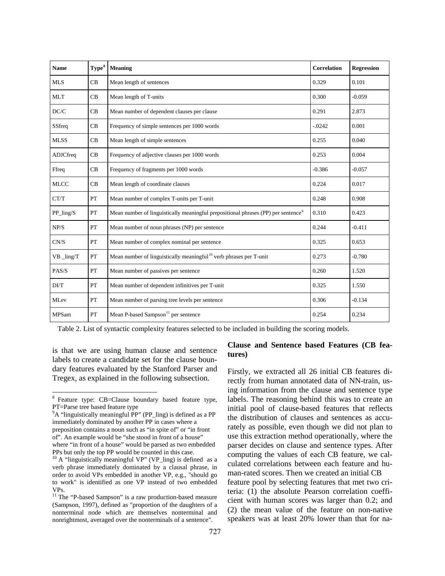| <b>Name</b>                     | ${\bf Type}^8$ | Meaning                                                                                       | Correlation | <b>Regression</b> |
|---------------------------------|----------------|-----------------------------------------------------------------------------------------------|-------------|-------------------|
| <b>MLS</b>                      | CB             | Mean length of sentences                                                                      | 0.329       | 0.101             |
| <b>MLT</b>                      | CB             | Mean length of T-units                                                                        | 0.300       | $-0.059$          |
| DC/C                            | CB             | Mean number of dependent clauses per clause                                                   | 0.291       | 2.873             |
| SSfreq                          | CB             | Frequency of simple sentences per 1000 words                                                  | $-.0242$    | 0.001             |
| <b>MLSS</b>                     | CB             | Mean length of simple sentences                                                               | 0.255       | 0.040             |
| ADJCfreq                        | CB             | Frequency of adjective clauses per 1000 words                                                 | 0.253       | 0.004             |
| Ffreq                           | CB             | Frequency of fragments per 1000 words                                                         | $-0.386$    | $-0.057$          |
| <b>MLCC</b>                     | CB             | Mean length of coordinate clauses                                                             | 0.224       | 0.017             |
| CT/T                            | PT             | Mean number of complex T-units per T-unit                                                     | 0.248       | 0.908             |
| $PP_{ling/S}$                   | PT             | Mean number of linguistically meaningful prepositional phrases (PP) per sentence <sup>9</sup> | 0.310       | 0.423             |
| NP/S                            | PT             | Mean number of noun phrases (NP) per sentence                                                 | 0.244       | $-0.411$          |
| CN/S                            | PT             | Mean number of complex nominal per sentence                                                   | 0.325       | 0.653             |
| $VB$ $\overline{\text{ling}}$ T | PT             | Mean number of linguistically meaningful <sup>10</sup> verb phrases per T-unit                | 0.273       | $-0.780$          |
| PAS/S                           | PT             | Mean number of passives per sentence                                                          | 0.260       | 1.520             |
| DUT                             | PT             | Mean number of dependent infinitives per T-unit                                               | 0.325       | 1.550             |
| MLev                            | PT             | Mean number of parsing tree levels per sentence                                               | 0.306       | $-0.134$          |
| <b>MPSam</b>                    | PT             | Mean P-based Sampson <sup>11</sup> per sentence                                               | 0.254       | 0.234             |

Table 2. List of syntactic complexity features selected to be included in building the scoring models.

is that we are using human clause and sentence labels to create a candidate set for the clause boundary features evaluated by the Stanford Parser and Tregex, as explained in the following subsection.

#### **Clause and Sentence based Features (CB features)**

Firstly, we extracted all 26 initial CB features directly from human annotated data of NN-train, using information from the clause and sentence type labels. The reasoning behind this was to create an initial pool of clause-based features that reflects the distribution of clauses and sentences as accurately as possible, even though we did not plan to use this extraction method operationally, where the parser decides on clause and sentence types. After computing the values of each CB feature, we calculated correlations between each feature and human-rated scores. Then we created an initial CB feature pool by selecting features that met two criteria: (1) the absolute Pearson correlation coefficient with human scores was larger than 0.2; and (2) the mean value of the feature on non-native speakers was at least 20% lower than that for na-

 <sup>8</sup> Feature type: CB=Clause boundary based feature type, PT=Parse tree based feature type

<sup>&</sup>lt;sup>9</sup>A "linguistically meaningful PP" (PP\_ling) is defined as a PP immediately dominated by another PP in cases where a preposition contains a noun such as "in spite of" or "in front of". An example would be "she stood in front of a house" where "in front of a house" would be parsed as two embedded PPs but only the top PP would be counted in this case.

<sup>&</sup>lt;sup>10</sup> A "linguistically meaningful VP" (VP\_ling) is defined as a verb phrase immediately dominated by a clausal phrase, in order to avoid VPs embedded in another VP, e.g., "should go to work" is identified as one VP instead of two embedded VPs.

<sup>&</sup>lt;sup>11</sup> The "P-based Sampson" is a raw production-based measure (Sampson, 1997), defined as "proportion of the daughters of a nonterminal node which are themselves nonterminal and nonrightmost, averaged over the nonterminals of a sentence".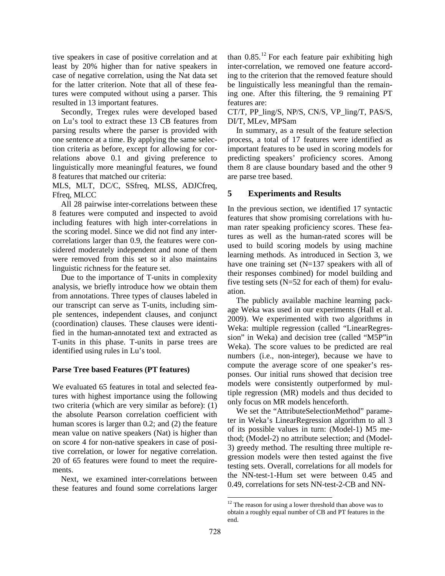tive speakers in case of positive correlation and at least by 20% higher than for native speakers in case of negative correlation, using the Nat data set for the latter criterion. Note that all of these features were computed without using a parser. This resulted in 13 important features.

Secondly, Tregex rules were developed based on Lu's tool to extract these 13 CB features from parsing results where the parser is provided with one sentence at a time. By applying the same selection criteria as before, except for allowing for correlations above 0.1 and giving preference to linguistically more meaningful features, we found 8 features that matched our criteria:

MLS, MLT, DC/C, SSfreq, MLSS, ADJCfreq, Ffreq, MLCC

All 28 pairwise inter-correlations between these 8 features were computed and inspected to avoid including features with high inter-correlations in the scoring model. Since we did not find any intercorrelations larger than 0.9, the features were considered moderately independent and none of them were removed from this set so it also maintains linguistic richness for the feature set.

Due to the importance of T-units in complexity analysis, we briefly introduce how we obtain them from annotations. Three types of clauses labeled in our transcript can serve as T-units, including simple sentences, independent clauses, and conjunct (coordination) clauses. These clauses were identified in the human-annotated text and extracted as T-units in this phase. T-units in parse trees are identified using rules in Lu's tool.

#### **Parse Tree based Features (PT features)**

We evaluated 65 features in total and selected features with highest importance using the following two criteria (which are very similar as before): (1) the absolute Pearson correlation coefficient with human scores is larger than 0.2; and (2) the feature mean value on native speakers (Nat) is higher than on score 4 for non-native speakers in case of positive correlation, or lower for negative correlation. 20 of 65 features were found to meet the requirements.

Next, we examined inter-correlations between these features and found some correlations larger

than  $0.85$ .<sup>12</sup> For each feature pair exhibiting high inter-correlation, we removed one feature according to the criterion that the removed feature should be linguistically less meaningful than the remaining one. After this filtering, the 9 remaining PT features are:

CT/T, PP\_ling/S, NP/S, CN/S, VP\_ling/T, PAS/S, DI/T, MLev, MPSam

In summary, as a result of the feature selection process, a total of 17 features were identified as important features to be used in scoring models for predicting speakers' proficiency scores. Among them 8 are clause boundary based and the other 9 are parse tree based.

## **5 Experiments and Results**

In the previous section, we identified 17 syntactic features that show promising correlations with human rater speaking proficiency scores. These features as well as the human-rated scores will be used to build scoring models by using machine learning methods. As introduced in Section 3, we have one training set (N=137 speakers with all of their responses combined) for model building and five testing sets ( $N=52$  for each of them) for evaluation.

The publicly available machine learning package Weka was used in our experiments (Hall et al. 2009). We experimented with two algorithms in Weka: multiple regression (called "LinearRegression" in Weka) and decision tree (called "M5P"in Weka). The score values to be predicted are real numbers (i.e., non-integer), because we have to compute the average score of one speaker's responses. Our initial runs showed that decision tree models were consistently outperformed by multiple regression (MR) models and thus decided to only focus on MR models henceforth.

We set the "AttributeSelectionMethod" parameter in Weka's LinearRegression algorithm to all 3 of its possible values in turn: (Model-1) M5 method; (Model-2) no attribute selection; and (Model-3) greedy method. The resulting three multiple regression models were then tested against the five testing sets. Overall, correlations for all models for the NN-test-1-Hum set were between 0.45 and 0.49, correlations for sets NN-test-2-CB and NN-

<sup>&</sup>lt;sup>12</sup> The reason for using a lower threshold than above was to obtain a roughly equal number of CB and PT features in the end.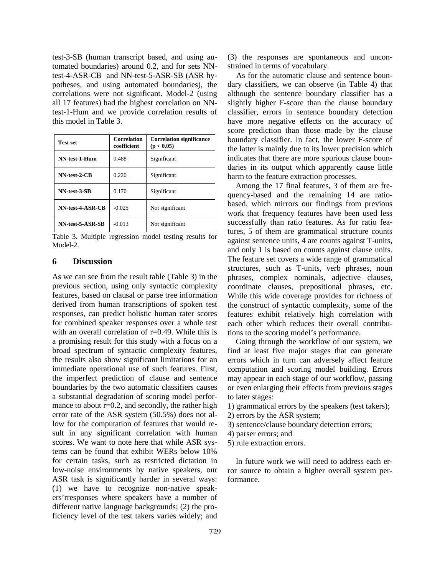test-3-SB (human transcript based, and using automated boundaries) around 0.2, and for sets NNtest-4-ASR-CB and NN-test-5-ASR-SB (ASR hypotheses, and using automated boundaries), the correlations were not significant. Model-2 (using all 17 features) had the highest correlation on NNtest-1-Hum and we provide correlation results of this model in Table 3.

| <b>Test set</b>  | <b>Correlation</b><br>coefficient | <b>Correlation significance</b><br>(p < 0.05) |  |
|------------------|-----------------------------------|-----------------------------------------------|--|
| NN-test-1-Hum    | 0.488                             | Significant                                   |  |
| NN-test-2-CB     | 0.220                             | Significant                                   |  |
| NN-test-3-SB     | 0.170                             | Significant                                   |  |
| NN-test-4-ASR-CB | $-0.025$                          | Not significant                               |  |
| NN-test-5-ASR-SB | $-0.013$                          | Not significant                               |  |

Table 3. Multiple regression model testing results for Model-2.

## **6 Discussion**

As we can see from the result table (Table 3) in the previous section, using only syntactic complexity features, based on clausal or parse tree information derived from human transcriptions of spoken test responses, can predict holistic human rater scores for combined speaker responses over a whole test with an overall correlation of r=0.49. While this is a promising result for this study with a focus on a broad spectrum of syntactic complexity features, the results also show significant limitations for an immediate operational use of such features. First, the imperfect prediction of clause and sentence boundaries by the two automatic classifiers causes a substantial degradation of scoring model performance to about  $r=0.2$ , and secondly, the rather high error rate of the ASR system (50.5%) does not allow for the computation of features that would result in any significant correlation with human scores. We want to note here that while ASR systems can be found that exhibit WERs below 10% for certain tasks, such as restricted dictation in low-noise environments by native speakers, our ASR task is significantly harder in several ways: (1) we have to recognize non-native speakers'rresponses where speakers have a number of different native language backgrounds; (2) the proficiency level of the test takers varies widely; and (3) the responses are spontaneous and unconstrained in terms of vocabulary.

As for the automatic clause and sentence boundary classifiers, we can observe (in Table 4) that although the sentence boundary classifier has a slightly higher F-score than the clause boundary classifier, errors in sentence boundary detection have more negative effects on the accuracy of score prediction than those made by the clause boundary classifier. In fact, the lower F-score of the latter is mainly due to its lower precision which indicates that there are more spurious clause boundaries in its output which apparently cause little harm to the feature extraction processes.

Among the 17 final features, 3 of them are frequency-based and the remaining 14 are ratiobased, which mirrors our findings from previous work that frequency features have been used less successfully than ratio features. As for ratio features, 5 of them are grammatical structure counts against sentence units, 4 are counts against T-units, and only 1 is based on counts against clause units. The feature set covers a wide range of grammatical structures, such as T-units, verb phrases, noun phrases, complex nominals, adjective clauses, coordinate clauses, prepositional phrases, etc. While this wide coverage provides for richness of the construct of syntactic complexity, some of the features exhibit relatively high correlation with each other which reduces their overall contributions to the scoring model's performance.

Going through the workflow of our system, we find at least five major stages that can generate errors which in turn can adversely affect feature computation and scoring model building. Errors may appear in each stage of our workflow, passing or even enlarging their effects from previous stages to later stages:

- 1) grammatical errors by the speakers (test takers);
- 2) errors by the ASR system;
- 3) sentence/clause boundary detection errors;
- 4) parser errors; and
- 5) rule extraction errors.

In future work we will need to address each error source to obtain a higher overall system performance.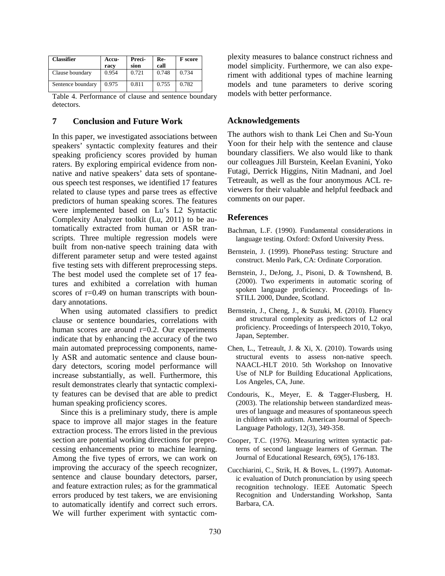| <b>Classifier</b> | Accu-<br>racv | Preci-<br>sion | Re-<br>call | <b>F</b> score |
|-------------------|---------------|----------------|-------------|----------------|
| Clause boundary   | 0.954         | 0.721          | 0.748       | 0.734          |
| Sentence boundary | 0.975         | 0.811          | 0.755       | 0.782          |

Table 4. Performance of clause and sentence boundary detectors.

#### **7 Conclusion and Future Work**

In this paper, we investigated associations between speakers' syntactic complexity features and their speaking proficiency scores provided by human raters. By exploring empirical evidence from nonnative and native speakers' data sets of spontaneous speech test responses, we identified 17 features related to clause types and parse trees as effective predictors of human speaking scores. The features were implemented based on Lu's L2 Syntactic Complexity Analyzer toolkit (Lu, 2011) to be automatically extracted from human or ASR transcripts. Three multiple regression models were built from non-native speech training data with different parameter setup and were tested against five testing sets with different preprocessing steps. The best model used the complete set of 17 features and exhibited a correlation with human scores of r=0.49 on human transcripts with boundary annotations.

When using automated classifiers to predict clause or sentence boundaries, correlations with human scores are around  $r=0.2$ . Our experiments indicate that by enhancing the accuracy of the two main automated preprocessing components, namely ASR and automatic sentence and clause boundary detectors, scoring model performance will increase substantially, as well. Furthermore, this result demonstrates clearly that syntactic complexity features can be devised that are able to predict human speaking proficiency scores.

Since this is a preliminary study, there is ample space to improve all major stages in the feature extraction process. The errors listed in the previous section are potential working directions for preprocessing enhancements prior to machine learning. Among the five types of errors, we can work on improving the accuracy of the speech recognizer, sentence and clause boundary detectors, parser, and feature extraction rules; as for the grammatical errors produced by test takers, we are envisioning to automatically identify and correct such errors. We will further experiment with syntactic complexity measures to balance construct richness and model simplicity. Furthermore, we can also experiment with additional types of machine learning models and tune parameters to derive scoring models with better performance.

#### **Acknowledgements**

The authors wish to thank Lei Chen and Su-Youn Yoon for their help with the sentence and clause boundary classifiers. We also would like to thank our colleagues Jill Burstein, Keelan Evanini, Yoko Futagi, Derrick Higgins, Nitin Madnani, and Joel Tetreault, as well as the four anonymous ACL reviewers for their valuable and helpful feedback and comments on our paper.

## **References**

- Bachman, L.F. (1990). Fundamental considerations in language testing. Oxford: Oxford University Press.
- Bernstein, J. (1999). PhonePass testing: Structure and construct. Menlo Park, CA: Ordinate Corporation.
- Bernstein, J., DeJong, J., Pisoni, D. & Townshend, B. (2000). Two experiments in automatic scoring of spoken language proficiency. Proceedings of In-STILL 2000, Dundee, Scotland.
- Bernstein, J., Cheng, J., & Suzuki, M. (2010). Fluency and structural complexity as predictors of L2 oral proficiency. Proceedings of Interspeech 2010, Tokyo, Japan, September.
- Chen, L., Tetreault, J. & Xi, X. (2010). Towards using structural events to assess non-native speech. NAACL-HLT 2010. 5th Workshop on Innovative Use of NLP for Building Educational Applications, Los Angeles, CA, June.
- Condouris, K., Meyer, E. & Tagger-Flusberg, H. (2003). The relationship between standardized measures of language and measures of spontaneous speech in children with autism. American Journal of Speech-Language Pathology, 12(3), 349-358.
- Cooper, T.C. (1976). Measuring written syntactic patterns of second language learners of German. The Journal of Educational Research, 69(5), 176-183.
- Cucchiarini, C., Strik, H. & Boves, L. (1997). Automatic evaluation of Dutch pronunciation by using speech recognition technology. IEEE Automatic Speech Recognition and Understanding Workshop, Santa Barbara, CA.